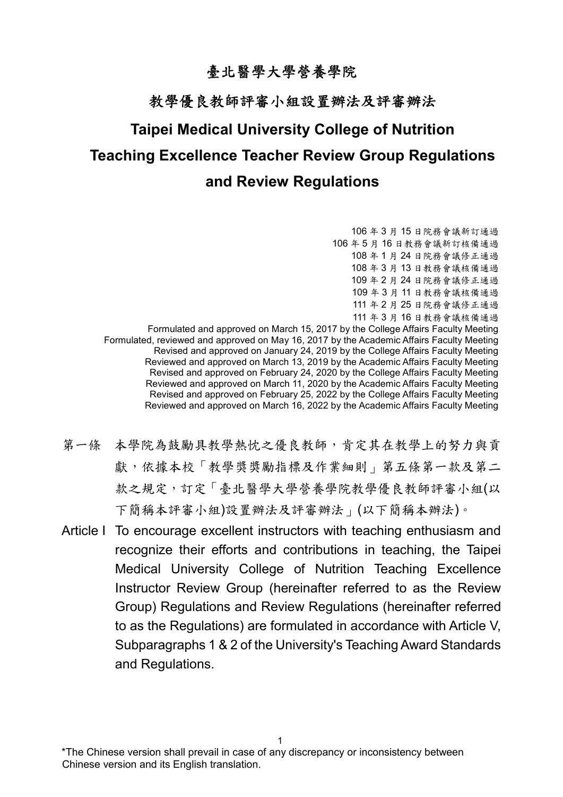## 臺北醫學大學營養學院

### 教學優良教師評審小組設置辦法及評審辦法

# **Taipei Medical University College of Nutrition Teaching Excellence Teacher Review Group Regulations and Review Regulations**

106 年 3 月 15 日院務會議新訂通過 106 年 5 月 16 日教務會議新訂核備通過 108 年 1 月 24 日院務會議修正通過 108 年 3 月 13 日教務會議核備通過 109 年 2 月 24 日院務會議修正通過 109 年 3 月 11 日教務會議核備通過 111 年 2 月 25 日院務會議修正通過 111 年 3 月 16 日教務會議核備通過 Formulated and approved on March 15, 2017 by the College Affairs Faculty Meeting Formulated, reviewed and approved on May 16, 2017 by the Academic Affairs Faculty Meeting Revised and approved on January 24, 2019 by the College Affairs Faculty Meeting Reviewed and approved on March 13, 2019 by the Academic Affairs Faculty Meeting Revised and approved on February 24, 2020 by the College Affairs Faculty Meeting Reviewed and approved on March 11, 2020 by the Academic Affairs Faculty Meeting Revised and approved on February 25, 2022 by the College Affairs Faculty Meeting Reviewed and approved on March 16, 2022 by the Academic Affairs Faculty Meeting

- 第一條 本學院為鼓勵具教學熱忱之優良教師,肯定其在教學上的努力與貢 獻,依據本校「教學獎獎勵指標及作業細則」第五條第一款及第二 款之規定,訂定「臺北醫學大學營養學院教學優良教師評審小組(以 下簡稱本評審小組)設置辦法及評審辦法」(以下簡稱本辦法)。
- Article I To encourage excellent instructors with teaching enthusiasm and recognize their efforts and contributions in teaching, the Taipei Medical University College of Nutrition Teaching Excellence Instructor Review Group (hereinafter referred to as the Review Group) Regulations and Review Regulations (hereinafter referred to as the Regulations) are formulated in accordance with Article V, Subparagraphs 1 & 2 of the University's Teaching Award Standards and Regulations.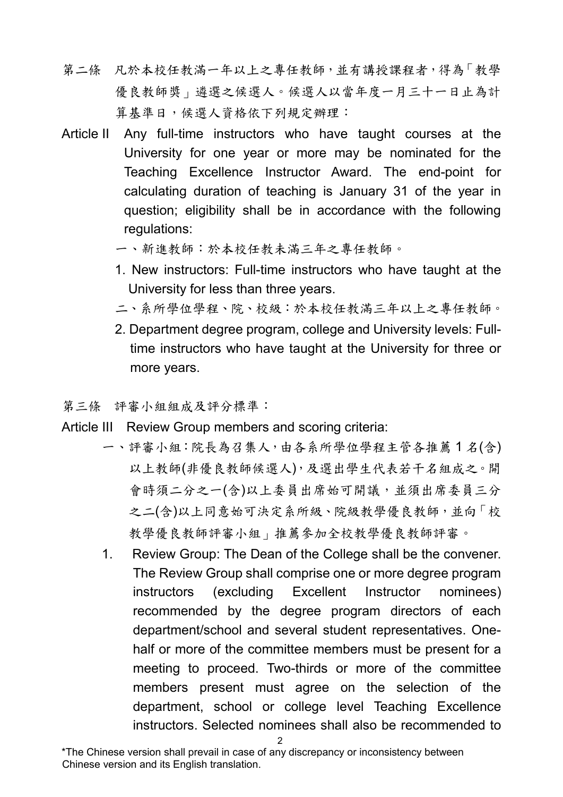- 第二條 凡於本校任教滿一年以上之專任教師,並有講授課程者,得為「教學 優良教師獎」遴選之候選人。候選人以當年度一月三十一日止為計 算基準日,候選人資格依下列規定辦理:
- Article II Any full-time instructors who have taught courses at the University for one year or more may be nominated for the Teaching Excellence Instructor Award. The end-point for calculating duration of teaching is January 31 of the year in question; eligibility shall be in accordance with the following regulations:
	- 一、新進教師:於本校任教未滿三年之專任教師。
	- 1. New instructors: Full-time instructors who have taught at the University for less than three years.
	- 二、系所學位學程、院、校級:於本校任教滿三年以上之專任教師。
	- 2. Department degree program, college and University levels: Fulltime instructors who have taught at the University for three or more years.
- 第三條 評審小組組成及評分標準:
- Article III Review Group members and scoring criteria:
	- 一、評審小組:院長為召集人,由各系所學位學程主管各推薦 1 名(含) 以上教師(非優良教師候選人),及選出學生代表若干名組成之。開 會時須二分之一(含)以上委員出席始可開議,並須出席委員三分 之二(含)以上同意始可決定系所級、院級教學優良教師,並向「校 教學優良教師評審小組」推薦參加全校教學優良教師評審。
	- 1. Review Group: The Dean of the College shall be the convener. The Review Group shall comprise one or more degree program instructors (excluding Excellent Instructor nominees) recommended by the degree program directors of each department/school and several student representatives. Onehalf or more of the committee members must be present for a meeting to proceed. Two-thirds or more of the committee members present must agree on the selection of the department, school or college level Teaching Excellence instructors. Selected nominees shall also be recommended to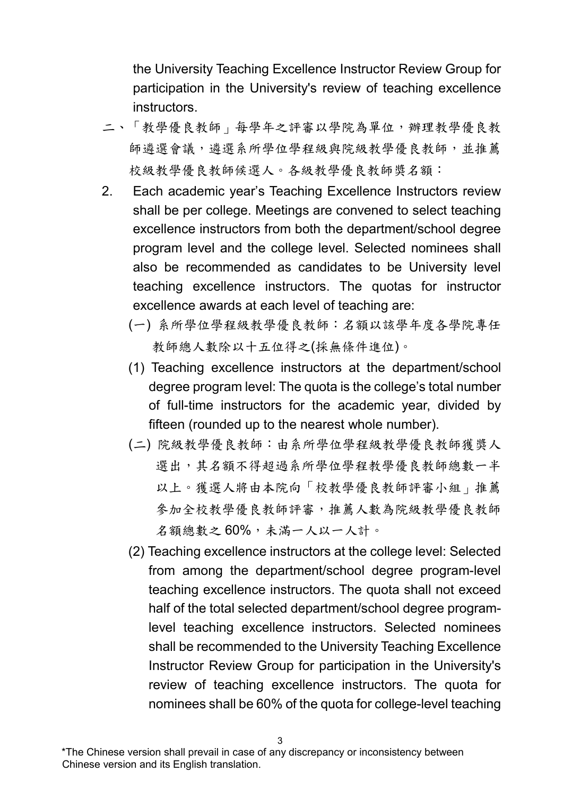the University Teaching Excellence Instructor Review Group for participation in the University's review of teaching excellence instructors.

- 二、「教學優良教師」每學年之評審以學院為單位,辦理教學優良教 師遴選會議,遴選系所學位學程級與院級教學優良教師,並推薦 校級教學優良教師候選人。各級教學優良教師獎名額:
- 2. Each academic year's Teaching Excellence Instructors review shall be per college. Meetings are convened to select teaching excellence instructors from both the department/school degree program level and the college level. Selected nominees shall also be recommended as candidates to be University level teaching excellence instructors. The quotas for instructor excellence awards at each level of teaching are:

(一) 系所學位學程級教學優良教師:名額以該學年度各學院專任 教師總人數除以十五位得之(採無條件進位)。

- (1) Teaching excellence instructors at the department/school degree program level: The quota is the college's total number of full-time instructors for the academic year, divided by fifteen (rounded up to the nearest whole number).
- (二) 院級教學優良教師:由系所學位學程級教學優良教師獲獎人 選出,其名額不得超過系所學位學程教學優良教師總數一半 以上。獲選人將由本院向「校教學優良教師評審小組」推薦 參加全校教學優良教師評審,推薦人數為院級教學優良教師 名額總數之60%,未滿一人以一人計。
- (2) Teaching excellence instructors at the college level: Selected from among the department/school degree program-level teaching excellence instructors. The quota shall not exceed half of the total selected department/school degree programlevel teaching excellence instructors. Selected nominees shall be recommended to the University Teaching Excellence Instructor Review Group for participation in the University's review of teaching excellence instructors. The quota for nominees shall be 60% of the quota for college-level teaching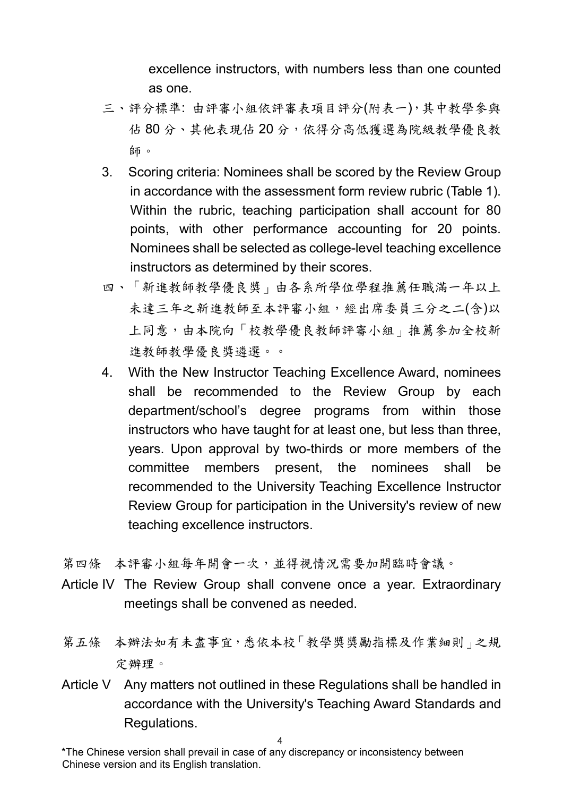excellence instructors, with numbers less than one counted as one.

- 三、評分標準: 由評審小組依評審表項目評分(附表一),其中教學參與 佔 80 分、其他表現佔 20 分,依得分高低獲選為院級教學優良教 師。
- 3. Scoring criteria: Nominees shall be scored by the Review Group in accordance with the assessment form review rubric (Table 1). Within the rubric, teaching participation shall account for 80 points, with other performance accounting for 20 points. Nominees shall be selected as college-level teaching excellence instructors as determined by their scores.
- 四、「新進教師教學優良獎」由各系所學位學程推薦任職滿一年以上 未達三年之新進教師至本評審小組,經出席委員三分之二(含)以 上同意,由本院向「校教學優良教師評審小組」推薦參加全校新 進教師教學優良獎遴選。。
- 4. With the New Instructor Teaching Excellence Award, nominees shall be recommended to the Review Group by each department/school's degree programs from within those instructors who have taught for at least one, but less than three, years. Upon approval by two-thirds or more members of the committee members present, the nominees shall be recommended to the University Teaching Excellence Instructor Review Group for participation in the University's review of new teaching excellence instructors.

第四條 本評審小組每年開會一次,並得視情況需要加開臨時會議。

- Article IV The Review Group shall convene once a year. Extraordinary meetings shall be convened as needed.
- 第五條 本辦法如有未盡事宜,悉依本校「教學獎獎勵指標及作業細則」之規 定辦理。
- Article V Any matters not outlined in these Regulations shall be handled in accordance with the University's Teaching Award Standards and Regulations.

4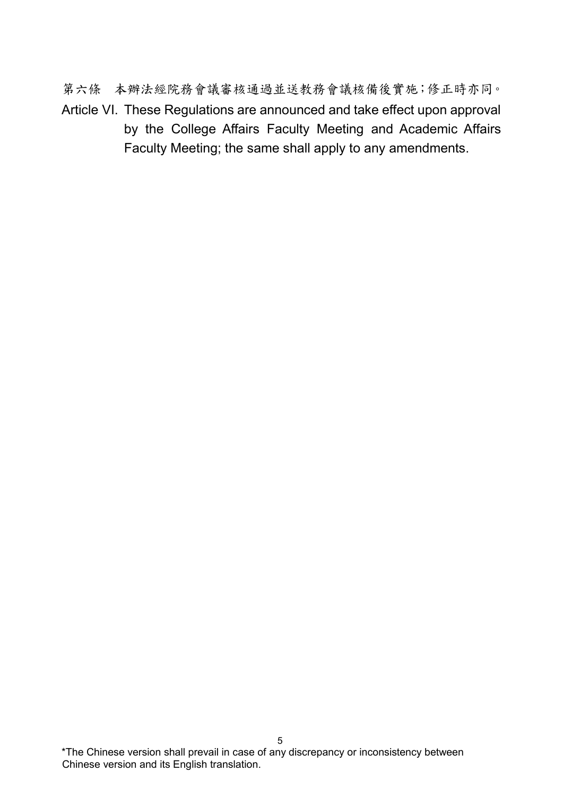第六條 本辦法經院務會議審核通過並送教務會議核備後實施;修正時亦同。 Article VI. These Regulations are announced and take effect upon approval by the College Affairs Faculty Meeting and Academic Affairs Faculty Meeting; the same shall apply to any amendments.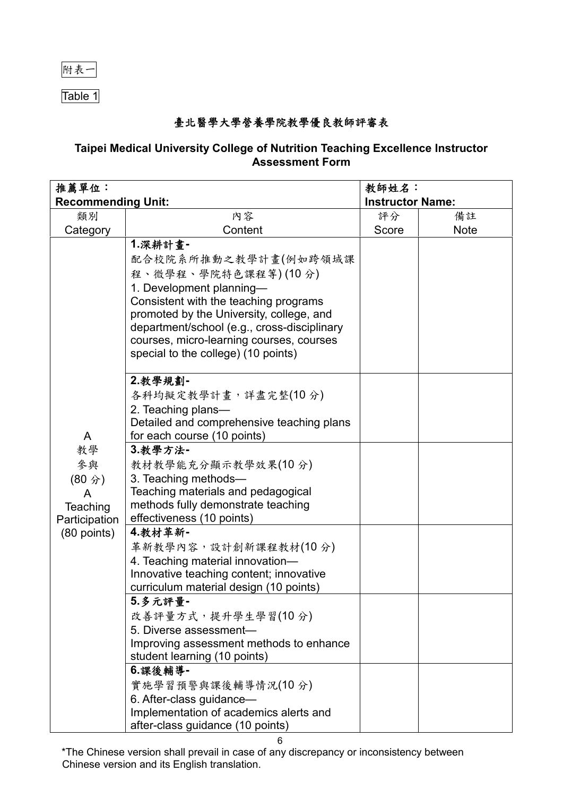附表一

Table 1

### 臺北醫學大學營養學院教學優良教師評審表

#### **Taipei Medical University College of Nutrition Teaching Excellence Instructor Assessment Form**

| 推薦單位:                                                                   |                                                                                                                                                                                                                                                                                                           | 教師姓名:                   |             |
|-------------------------------------------------------------------------|-----------------------------------------------------------------------------------------------------------------------------------------------------------------------------------------------------------------------------------------------------------------------------------------------------------|-------------------------|-------------|
| <b>Recommending Unit:</b>                                               |                                                                                                                                                                                                                                                                                                           | <b>Instructor Name:</b> |             |
| 類別                                                                      | 內容                                                                                                                                                                                                                                                                                                        | 評分                      | 備註          |
| Category                                                                | Content                                                                                                                                                                                                                                                                                                   | Score                   | <b>Note</b> |
| A<br>教學<br>參與<br>(80分)<br>A<br>Teaching<br>Participation<br>(80 points) | 1.深耕計畫-<br>配合校院系所推動之教學計畫(例如跨領域課<br>程、微學程、學院特色課程等)(10分)<br>1. Development planning-<br>Consistent with the teaching programs<br>promoted by the University, college, and<br>department/school (e.g., cross-disciplinary<br>courses, micro-learning courses, courses<br>special to the college) (10 points) |                         |             |
|                                                                         | 2.教學規劃-<br>各科均擬定教學計畫,詳盡完整(10分)<br>2. Teaching plans-<br>Detailed and comprehensive teaching plans<br>for each course (10 points)                                                                                                                                                                          |                         |             |
|                                                                         | 3.教學方法-<br>教材教學能充分顯示教學效果(10分)<br>3. Teaching methods-<br>Teaching materials and pedagogical<br>methods fully demonstrate teaching<br>effectiveness (10 points)                                                                                                                                            |                         |             |
|                                                                         | 4.教材革新-<br>革新教學內容,設計創新課程教材(10分)<br>4. Teaching material innovation-<br>Innovative teaching content; innovative<br>curriculum material design (10 points)                                                                                                                                                  |                         |             |
|                                                                         | 5.多元評量-<br>改善評量方式,提升學生學習(10分)<br>5. Diverse assessment-<br>Improving assessment methods to enhance<br>student learning (10 points)                                                                                                                                                                        |                         |             |
|                                                                         | 6.課後輔導-<br>實施學習預警與課後輔導情況(10分)<br>6. After-class guidance-<br>Implementation of academics alerts and<br>after-class guidance (10 points)                                                                                                                                                                   |                         |             |